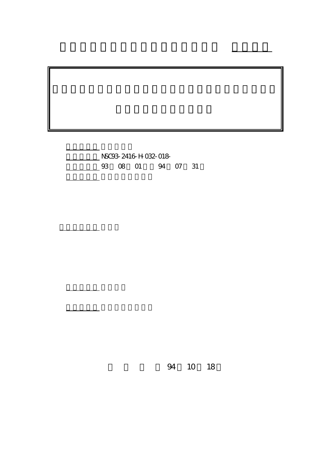計畫編號: NSC93-2416-H-032-018- 4 07 31

 $\mathcal{L}^{\mathcal{L}}$ : 1990)

計畫主持人: 曹嘉玲

報告類型: 精簡報告

。<br>在前書 : 本計畫可公開查詢

行政院國家科學委員會專題研究計畫 成果報告

94 10 18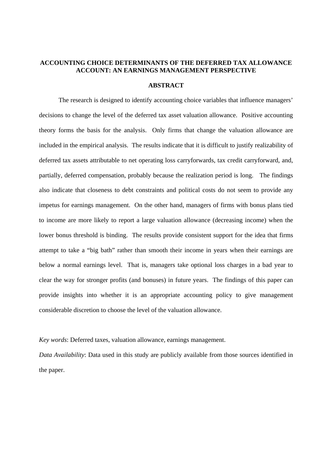# **ACCOUNTING CHOICE DETERMINANTS OF THE DEFERRED TAX ALLOWANCE ACCOUNT: AN EARNINGS MANAGEMENT PERSPECTIVE**

## **ABSTRACT**

The research is designed to identify accounting choice variables that influence managers' decisions to change the level of the deferred tax asset valuation allowance. Positive accounting theory forms the basis for the analysis. Only firms that change the valuation allowance are included in the empirical analysis. The results indicate that it is difficult to justify realizability of deferred tax assets attributable to net operating loss carryforwards, tax credit carryforward, and, partially, deferred compensation, probably because the realization period is long. The findings also indicate that closeness to debt constraints and political costs do not seem to provide any impetus for earnings management. On the other hand, managers of firms with bonus plans tied to income are more likely to report a large valuation allowance (decreasing income) when the lower bonus threshold is binding. The results provide consistent support for the idea that firms attempt to take a "big bath" rather than smooth their income in years when their earnings are below a normal earnings level. That is, managers take optional loss charges in a bad year to clear the way for stronger profits (and bonuses) in future years. The findings of this paper can provide insights into whether it is an appropriate accounting policy to give management considerable discretion to choose the level of the valuation allowance.

*Key words*: Deferred taxes, valuation allowance, earnings management.

*Data Availability*: Data used in this study are publicly available from those sources identified in the paper.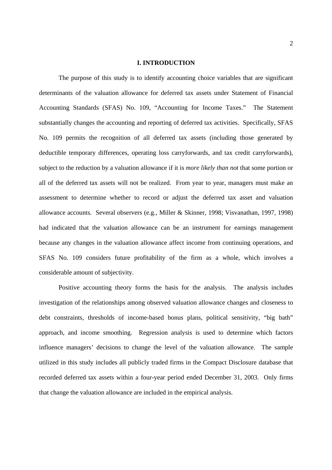### **I. INTRODUCTION**

The purpose of this study is to identify accounting choice variables that are significant determinants of the valuation allowance for deferred tax assets under Statement of Financial Accounting Standards (SFAS) No. 109, "Accounting for Income Taxes." The Statement substantially changes the accounting and reporting of deferred tax activities. Specifically, SFAS No. 109 permits the recognition of all deferred tax assets (including those generated by deductible temporary differences, operating loss carryforwards, and tax credit carryforwards), subject to the reduction by a valuation allowance if it is *more likely than not* that some portion or all of the deferred tax assets will not be realized. From year to year, managers must make an assessment to determine whether to record or adjust the deferred tax asset and valuation allowance accounts. Several observers (e.g., Miller & Skinner, 1998; Visvanathan, 1997, 1998) had indicated that the valuation allowance can be an instrument for earnings management because any changes in the valuation allowance affect income from continuing operations, and SFAS No. 109 considers future profitability of the firm as a whole, which involves a considerable amount of subjectivity.

Positive accounting theory forms the basis for the analysis. The analysis includes investigation of the relationships among observed valuation allowance changes and closeness to debt constraints, thresholds of income-based bonus plans, political sensitivity, "big bath" approach, and income smoothing. Regression analysis is used to determine which factors influence managers' decisions to change the level of the valuation allowance. The sample utilized in this study includes all publicly traded firms in the Compact Disclosure database that recorded deferred tax assets within a four-year period ended December 31, 2003. Only firms that change the valuation allowance are included in the empirical analysis.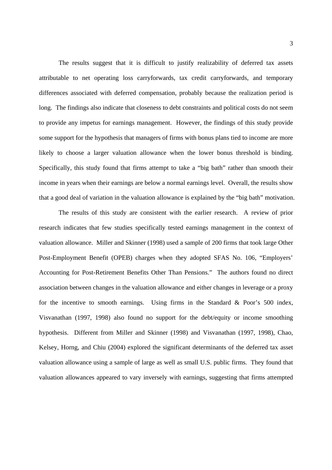The results suggest that it is difficult to justify realizability of deferred tax assets attributable to net operating loss carryforwards, tax credit carryforwards, and temporary differences associated with deferred compensation, probably because the realization period is long. The findings also indicate that closeness to debt constraints and political costs do not seem to provide any impetus for earnings management. However, the findings of this study provide some support for the hypothesis that managers of firms with bonus plans tied to income are more likely to choose a larger valuation allowance when the lower bonus threshold is binding. Specifically, this study found that firms attempt to take a "big bath" rather than smooth their income in years when their earnings are below a normal earnings level. Overall, the results show that a good deal of variation in the valuation allowance is explained by the "big bath" motivation.

The results of this study are consistent with the earlier research. A review of prior research indicates that few studies specifically tested earnings management in the context of valuation allowance. Miller and Skinner (1998) used a sample of 200 firms that took large Other Post-Employment Benefit (OPEB) charges when they adopted SFAS No. 106, "Employers' Accounting for Post-Retirement Benefits Other Than Pensions." The authors found no direct association between changes in the valuation allowance and either changes in leverage or a proxy for the incentive to smooth earnings. Using firms in the Standard & Poor's 500 index, Visvanathan (1997, 1998) also found no support for the debt/equity or income smoothing hypothesis. Different from Miller and Skinner (1998) and Visvanathan (1997, 1998), Chao, Kelsey, Horng, and Chiu (2004) explored the significant determinants of the deferred tax asset valuation allowance using a sample of large as well as small U.S. public firms. They found that valuation allowances appeared to vary inversely with earnings, suggesting that firms attempted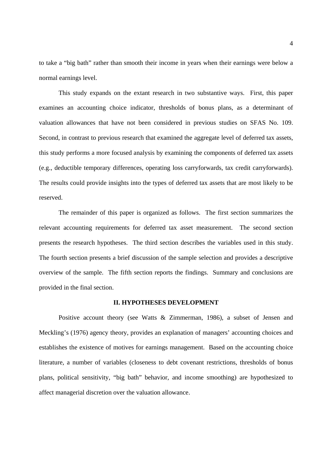to take a "big bath" rather than smooth their income in years when their earnings were below a normal earnings level.

This study expands on the extant research in two substantive ways. First, this paper examines an accounting choice indicator, thresholds of bonus plans, as a determinant of valuation allowances that have not been considered in previous studies on SFAS No. 109. Second, in contrast to previous research that examined the aggregate level of deferred tax assets, this study performs a more focused analysis by examining the components of deferred tax assets (e.g., deductible temporary differences, operating loss carryforwards, tax credit carryforwards). The results could provide insights into the types of deferred tax assets that are most likely to be reserved.

 The remainder of this paper is organized as follows. The first section summarizes the relevant accounting requirements for deferred tax asset measurement. The second section presents the research hypotheses. The third section describes the variables used in this study. The fourth section presents a brief discussion of the sample selection and provides a descriptive overview of the sample. The fifth section reports the findings. Summary and conclusions are provided in the final section.

### **II. HYPOTHESES DEVELOPMENT**

Positive account theory (see Watts & Zimmerman, 1986), a subset of Jensen and Meckling's (1976) agency theory, provides an explanation of managers' accounting choices and establishes the existence of motives for earnings management. Based on the accounting choice literature, a number of variables (closeness to debt covenant restrictions, thresholds of bonus plans, political sensitivity, "big bath" behavior, and income smoothing) are hypothesized to affect managerial discretion over the valuation allowance.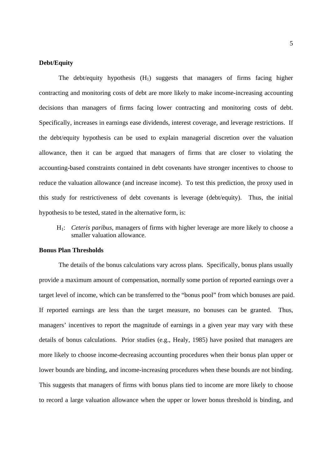#### **Debt/Equity**

The debt/equity hypothesis  $(H_1)$  suggests that managers of firms facing higher contracting and monitoring costs of debt are more likely to make income-increasing accounting decisions than managers of firms facing lower contracting and monitoring costs of debt. Specifically, increases in earnings ease dividends, interest coverage, and leverage restrictions. If the debt/equity hypothesis can be used to explain managerial discretion over the valuation allowance, then it can be argued that managers of firms that are closer to violating the accounting-based constraints contained in debt covenants have stronger incentives to choose to reduce the valuation allowance (and increase income). To test this prediction, the proxy used in this study for restrictiveness of debt covenants is leverage (debt/equity). Thus, the initial hypothesis to be tested, stated in the alternative form, is:

H1: *Ceteris paribus*, managers of firms with higher leverage are more likely to choose a smaller valuation allowance.

# **Bonus Plan Thresholds**

The details of the bonus calculations vary across plans. Specifically, bonus plans usually provide a maximum amount of compensation, normally some portion of reported earnings over a target level of income, which can be transferred to the "bonus pool" from which bonuses are paid. If reported earnings are less than the target measure, no bonuses can be granted. Thus, managers' incentives to report the magnitude of earnings in a given year may vary with these details of bonus calculations. Prior studies (e.g., Healy, 1985) have posited that managers are more likely to choose income-decreasing accounting procedures when their bonus plan upper or lower bounds are binding, and income-increasing procedures when these bounds are not binding. This suggests that managers of firms with bonus plans tied to income are more likely to choose to record a large valuation allowance when the upper or lower bonus threshold is binding, and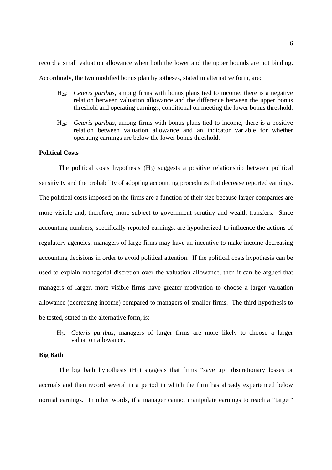record a small valuation allowance when both the lower and the upper bounds are not binding. Accordingly, the two modified bonus plan hypotheses, stated in alternative form, are:

- H2a: *Ceteris paribus*, among firms with bonus plans tied to income, there is a negative relation between valuation allowance and the difference between the upper bonus threshold and operating earnings, conditional on meeting the lower bonus threshold.
- H2b: *Ceteris paribus*, among firms with bonus plans tied to income, there is a positive relation between valuation allowance and an indicator variable for whether operating earnings are below the lower bonus threshold.

# **Political Costs**

The political costs hypothesis  $(H_3)$  suggests a positive relationship between political sensitivity and the probability of adopting accounting procedures that decrease reported earnings. The political costs imposed on the firms are a function of their size because larger companies are more visible and, therefore, more subject to government scrutiny and wealth transfers. Since accounting numbers, specifically reported earnings, are hypothesized to influence the actions of regulatory agencies, managers of large firms may have an incentive to make income-decreasing accounting decisions in order to avoid political attention. If the political costs hypothesis can be used to explain managerial discretion over the valuation allowance, then it can be argued that managers of larger, more visible firms have greater motivation to choose a larger valuation allowance (decreasing income) compared to managers of smaller firms. The third hypothesis to be tested, stated in the alternative form, is:

H3: *Ceteris paribus*, managers of larger firms are more likely to choose a larger valuation allowance.

#### **Big Bath**

The big bath hypothesis  $(H_4)$  suggests that firms "save up" discretionary losses or accruals and then record several in a period in which the firm has already experienced below normal earnings. In other words, if a manager cannot manipulate earnings to reach a "target"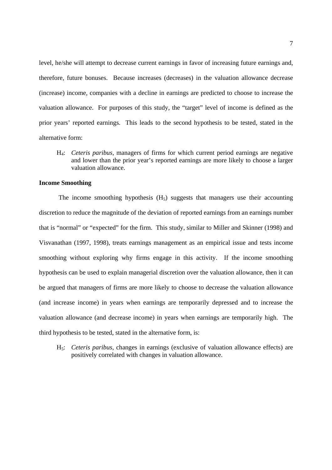level, he/she will attempt to decrease current earnings in favor of increasing future earnings and, therefore, future bonuses. Because increases (decreases) in the valuation allowance decrease (increase) income, companies with a decline in earnings are predicted to choose to increase the valuation allowance. For purposes of this study, the "target" level of income is defined as the prior years' reported earnings. This leads to the second hypothesis to be tested, stated in the alternative form:

H4: *Ceteris paribus*, managers of firms for which current period earnings are negative and lower than the prior year's reported earnings are more likely to choose a larger valuation allowance.

# **Income Smoothing**

The income smoothing hypothesis  $(H_5)$  suggests that managers use their accounting discretion to reduce the magnitude of the deviation of reported earnings from an earnings number that is "normal" or "expected" for the firm. This study, similar to Miller and Skinner (1998) and Visvanathan (1997, 1998), treats earnings management as an empirical issue and tests income smoothing without exploring why firms engage in this activity. If the income smoothing hypothesis can be used to explain managerial discretion over the valuation allowance, then it can be argued that managers of firms are more likely to choose to decrease the valuation allowance (and increase income) in years when earnings are temporarily depressed and to increase the valuation allowance (and decrease income) in years when earnings are temporarily high. The third hypothesis to be tested, stated in the alternative form, is:

H5: *Ceteris paribus*, changes in earnings (exclusive of valuation allowance effects) are positively correlated with changes in valuation allowance.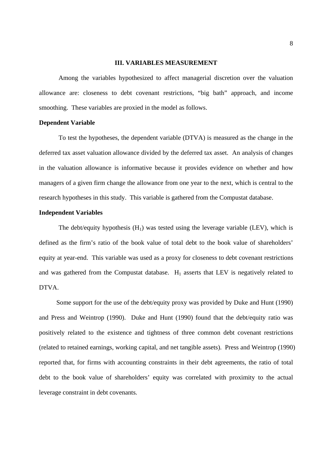### **III. VARIABLES MEASUREMENT**

Among the variables hypothesized to affect managerial discretion over the valuation allowance are: closeness to debt covenant restrictions, "big bath" approach, and income smoothing. These variables are proxied in the model as follows.

### **Dependent Variable**

To test the hypotheses, the dependent variable (DTVA) is measured as the change in the deferred tax asset valuation allowance divided by the deferred tax asset. An analysis of changes in the valuation allowance is informative because it provides evidence on whether and how managers of a given firm change the allowance from one year to the next, which is central to the research hypotheses in this study. This variable is gathered from the Compustat database.

# **Independent Variables**

The debt/equity hypothesis  $(H_1)$  was tested using the leverage variable (LEV), which is defined as the firm's ratio of the book value of total debt to the book value of shareholders' equity at year-end. This variable was used as a proxy for closeness to debt covenant restrictions and was gathered from the Compustat database.  $H_1$  asserts that LEV is negatively related to DTVA.

 Some support for the use of the debt/equity proxy was provided by Duke and Hunt (1990) and Press and Weintrop (1990). Duke and Hunt (1990) found that the debt/equity ratio was positively related to the existence and tightness of three common debt covenant restrictions (related to retained earnings, working capital, and net tangible assets). Press and Weintrop (1990) reported that, for firms with accounting constraints in their debt agreements, the ratio of total debt to the book value of shareholders' equity was correlated with proximity to the actual leverage constraint in debt covenants.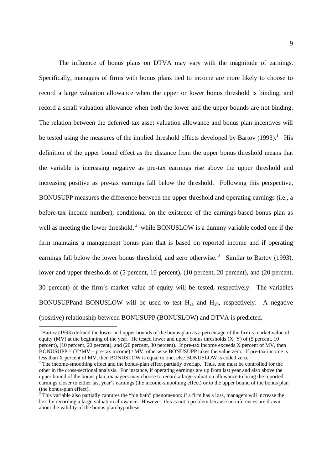The influence of bonus plans on DTVA may vary with the magnitude of earnings. Specifically, managers of firms with bonus plans tied to income are more likely to choose to record a large valuation allowance when the upper or lower bonus threshold is binding, and record a small valuation allowance when both the lower and the upper bounds are not binding. The relation between the deferred tax asset valuation allowance and bonus plan incentives will be tested using the measures of the implied threshold effects developed by Bartov (1993).<sup>1</sup> His definition of the upper bound effect as the distance from the upper bonus threshold means that the variable is increasing negative as pre-tax earnings rise above the upper threshold and increasing positive as pre-tax earnings fall below the threshold. Following this perspective, BONUSUPP measures the difference between the upper threshold and operating earnings (i.e., a before-tax income number), conditional on the existence of the earnings-based bonus plan as well as meeting the lower threshold,  $2$  while BONUSLOW is a dummy variable coded one if the firm maintains a management bonus plan that is based on reported income and if operating earnings fall below the lower bonus threshold, and zero otherwise.<sup>3</sup> Similar to Bartov (1993), lower and upper thresholds of (5 percent, 10 percent), (10 percent, 20 percent), and (20 percent, 30 percent) of the firm's market value of equity will be tested, respectively. The variables BONUSUPPand BONUSLOW will be used to test  $H<sub>2a</sub>$  and  $H<sub>2b</sub>$ , respectively. A negative (positive) relationship between BONUSUPP (BONUSLOW) and DTVA is predicted.

-

<sup>&</sup>lt;sup>1</sup> Bartov (1993) defined the lower and upper bounds of the bonus plan as a percentage of the firm's market value of equity (MV) at the beginning of the year. He tested lower and upper bonus thresholds  $(X, Y)$  of (5 percent, 10) percent), (10 percent, 20 percent), and (20 percent, 30 percent). If pre-tax income exceeds X percent of MV, then  $BONUSUPP = (Y^*MV - pre-tax income) / MV$ ; otherwise BONUSUPP takes the value zero. If pre-tax income is less than X percent of MV, then BONUSLOW is equal to one; else BONUSLOW is coded zero.

 $2^2$  The income-smoothing effect and the bonus-plan effect partially overlap. Thus, one must be controlled for the other in the cross-sectional analysis. For instance, if operating earnings are up from last year and also above the upper bound of the bonus plan, managers may choose to record a large valuation allowance to bring the reported earnings closer to either last year's earnings (the income-smoothing effect) or to the upper bound of the bonus plan (the bonus-plan effect).

 $3$  This variable also partially captures the "big bath" phenomenon: if a firm has a loss, managers will increase the loss by recording a large valuation allowance. However, this is not a problem because no inferences are drawn about the validity of the bonus plan hypothesis.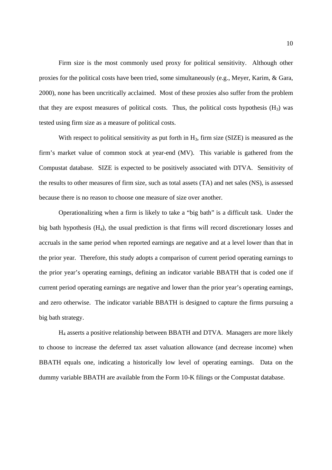Firm size is the most commonly used proxy for political sensitivity. Although other proxies for the political costs have been tried, some simultaneously (e.g., Meyer, Karim, & Gara, 2000), none has been uncritically acclaimed. Most of these proxies also suffer from the problem that they are expost measures of political costs. Thus, the political costs hypothesis  $(H_3)$  was tested using firm size as a measure of political costs.

With respect to political sensitivity as put forth in  $H_3$ , firm size (SIZE) is measured as the firm's market value of common stock at year-end (MV). This variable is gathered from the Compustat database. SIZE is expected to be positively associated with DTVA. Sensitivity of the results to other measures of firm size, such as total assets (TA) and net sales (NS), is assessed because there is no reason to choose one measure of size over another.

Operationalizing when a firm is likely to take a "big bath" is a difficult task. Under the big bath hypothesis  $(H_4)$ , the usual prediction is that firms will record discretionary losses and accruals in the same period when reported earnings are negative and at a level lower than that in the prior year. Therefore, this study adopts a comparison of current period operating earnings to the prior year's operating earnings, defining an indicator variable BBATH that is coded one if current period operating earnings are negative and lower than the prior year's operating earnings, and zero otherwise. The indicator variable BBATH is designed to capture the firms pursuing a big bath strategy.

 H4 asserts a positive relationship between BBATH and DTVA. Managers are more likely to choose to increase the deferred tax asset valuation allowance (and decrease income) when BBATH equals one, indicating a historically low level of operating earnings. Data on the dummy variable BBATH are available from the Form 10-K filings or the Compustat database.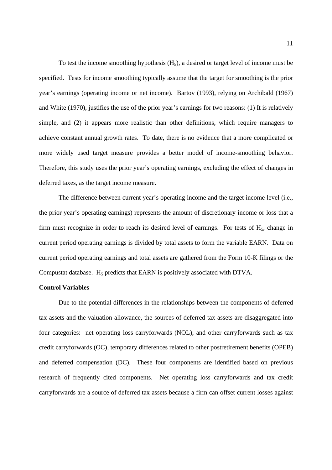To test the income smoothing hypothesis  $(H<sub>5</sub>)$ , a desired or target level of income must be specified. Tests for income smoothing typically assume that the target for smoothing is the prior year's earnings (operating income or net income). Bartov (1993), relying on Archibald (1967) and White (1970), justifies the use of the prior year's earnings for two reasons: (1) It is relatively simple, and (2) it appears more realistic than other definitions, which require managers to achieve constant annual growth rates. To date, there is no evidence that a more complicated or more widely used target measure provides a better model of income-smoothing behavior. Therefore, this study uses the prior year's operating earnings, excluding the effect of changes in deferred taxes, as the target income measure.

The difference between current year's operating income and the target income level (i.e., the prior year's operating earnings) represents the amount of discretionary income or loss that a firm must recognize in order to reach its desired level of earnings. For tests of  $H<sub>5</sub>$ , change in current period operating earnings is divided by total assets to form the variable EARN. Data on current period operating earnings and total assets are gathered from the Form 10-K filings or the Compustat database.  $H_5$  predicts that EARN is positively associated with DTVA.

## **Control Variables**

 Due to the potential differences in the relationships between the components of deferred tax assets and the valuation allowance, the sources of deferred tax assets are disaggregated into four categories: net operating loss carryforwards (NOL), and other carryforwards such as tax credit carryforwards (OC), temporary differences related to other postretirement benefits (OPEB) and deferred compensation (DC). These four components are identified based on previous research of frequently cited components. Net operating loss carryforwards and tax credit carryforwards are a source of deferred tax assets because a firm can offset current losses against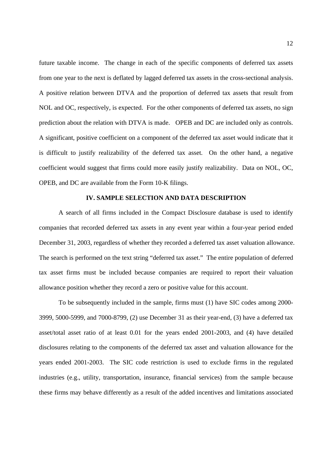future taxable income. The change in each of the specific components of deferred tax assets from one year to the next is deflated by lagged deferred tax assets in the cross-sectional analysis. A positive relation between DTVA and the proportion of deferred tax assets that result from NOL and OC, respectively, is expected. For the other components of deferred tax assets, no sign prediction about the relation with DTVA is made. OPEB and DC are included only as controls. A significant, positive coefficient on a component of the deferred tax asset would indicate that it is difficult to justify realizability of the deferred tax asset. On the other hand, a negative coefficient would suggest that firms could more easily justify realizability. Data on NOL, OC, OPEB, and DC are available from the Form 10-K filings.

#### **IV. SAMPLE SELECTION AND DATA DESCRIPTION**

 A search of all firms included in the Compact Disclosure database is used to identify companies that recorded deferred tax assets in any event year within a four-year period ended December 31, 2003, regardless of whether they recorded a deferred tax asset valuation allowance. The search is performed on the text string "deferred tax asset." The entire population of deferred tax asset firms must be included because companies are required to report their valuation allowance position whether they record a zero or positive value for this account.

 To be subsequently included in the sample, firms must (1) have SIC codes among 2000- 3999, 5000-5999, and 7000-8799, (2) use December 31 as their year-end, (3) have a deferred tax asset/total asset ratio of at least 0.01 for the years ended 2001-2003, and (4) have detailed disclosures relating to the components of the deferred tax asset and valuation allowance for the years ended 2001-2003. The SIC code restriction is used to exclude firms in the regulated industries (e.g., utility, transportation, insurance, financial services) from the sample because these firms may behave differently as a result of the added incentives and limitations associated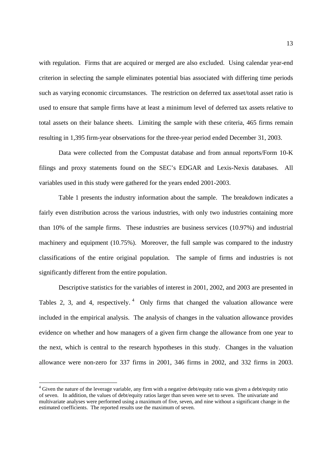with regulation. Firms that are acquired or merged are also excluded. Using calendar year-end criterion in selecting the sample eliminates potential bias associated with differing time periods such as varying economic circumstances. The restriction on deferred tax asset/total asset ratio is used to ensure that sample firms have at least a minimum level of deferred tax assets relative to total assets on their balance sheets. Limiting the sample with these criteria, 465 firms remain resulting in 1,395 firm-year observations for the three-year period ended December 31, 2003.

Data were collected from the Compustat database and from annual reports/Form 10-K filings and proxy statements found on the SEC's EDGAR and Lexis-Nexis databases. All variables used in this study were gathered for the years ended 2001-2003.

Table 1 presents the industry information about the sample. The breakdown indicates a fairly even distribution across the various industries, with only two industries containing more than 10% of the sample firms. These industries are business services (10.97%) and industrial machinery and equipment (10.75%). Moreover, the full sample was compared to the industry classifications of the entire original population. The sample of firms and industries is not significantly different from the entire population.

Descriptive statistics for the variables of interest in 2001, 2002, and 2003 are presented in Tables 2, 3, and 4, respectively.  $4$  Only firms that changed the valuation allowance were included in the empirical analysis. The analysis of changes in the valuation allowance provides evidence on whether and how managers of a given firm change the allowance from one year to the next, which is central to the research hypotheses in this study. Changes in the valuation allowance were non-zero for 337 firms in 2001, 346 firms in 2002, and 332 firms in 2003.

-

<sup>&</sup>lt;sup>4</sup> Given the nature of the leverage variable, any firm with a negative debt/equity ratio was given a debt/equity ratio of seven. In addition, the values of debt/equity ratios larger than seven were set to seven. The univariate and multivariate analyses were performed using a maximum of five, seven, and nine without a significant change in the estimated coefficients. The reported results use the maximum of seven.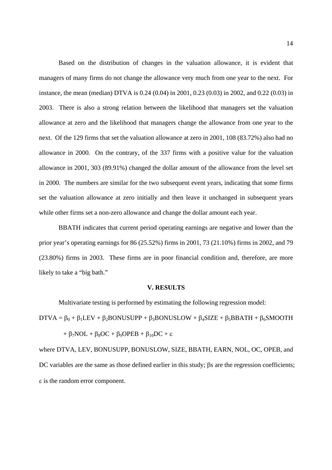Based on the distribution of changes in the valuation allowance, it is evident that managers of many firms do not change the allowance very much from one year to the next. For instance, the mean (median) DTVA is 0.24 (0.04) in 2001, 0.23 (0.03) in 2002, and 0.22 (0.03) in 2003. There is also a strong relation between the likelihood that managers set the valuation allowance at zero and the likelihood that managers change the allowance from one year to the next. Of the 129 firms that set the valuation allowance at zero in 2001, 108 (83.72%) also had no allowance in 2000. On the contrary, of the 337 firms with a positive value for the valuation allowance in 2001, 303 (89.91%) changed the dollar amount of the allowance from the level set in 2000. The numbers are similar for the two subsequent event years, indicating that some firms set the valuation allowance at zero initially and then leave it unchanged in subsequent years while other firms set a non-zero allowance and change the dollar amount each year.

BBATH indicates that current period operating earnings are negative and lower than the prior year's operating earnings for 86 (25.52%) firms in 2001, 73 (21.10%) firms in 2002, and 79 (23.80%) firms in 2003. These firms are in poor financial condition and, therefore, are more likely to take a "big bath."

#### **V. RESULTS**

Multivariate testing is performed by estimating the following regression model:

 $DTVA = \beta_0 + \beta_1 LEV + \beta_2 BONUSUPP + \beta_3 BONUSLOW + \beta_4 SIZE + \beta_5 BBATH + \beta_6 SMOOTH$ 

$$
+\;\beta_{7}NOL+\beta_{8}OC+\beta_{9}OPEB+\beta_{10}DC+\epsilon
$$

where DTVA, LEV, BONUSUPP, BONUSLOW, SIZE, BBATH, EARN, NOL, OC, OPEB, and DC variables are the same as those defined earlier in this study; βs are the regression coefficients; ε is the random error component.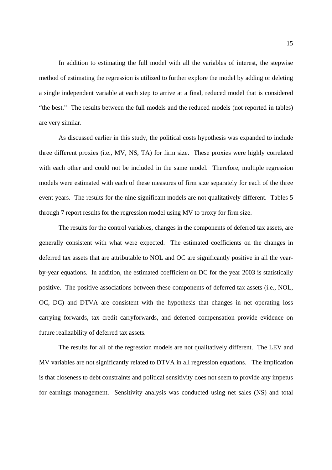In addition to estimating the full model with all the variables of interest, the stepwise method of estimating the regression is utilized to further explore the model by adding or deleting a single independent variable at each step to arrive at a final, reduced model that is considered "the best." The results between the full models and the reduced models (not reported in tables) are very similar.

As discussed earlier in this study, the political costs hypothesis was expanded to include three different proxies (i.e., MV, NS, TA) for firm size. These proxies were highly correlated with each other and could not be included in the same model. Therefore, multiple regression models were estimated with each of these measures of firm size separately for each of the three event years. The results for the nine significant models are not qualitatively different. Tables 5 through 7 report results for the regression model using MV to proxy for firm size.

The results for the control variables, changes in the components of deferred tax assets, are generally consistent with what were expected. The estimated coefficients on the changes in deferred tax assets that are attributable to NOL and OC are significantly positive in all the yearby-year equations. In addition, the estimated coefficient on DC for the year 2003 is statistically positive. The positive associations between these components of deferred tax assets (i.e., NOL, OC, DC) and DTVA are consistent with the hypothesis that changes in net operating loss carrying forwards, tax credit carryforwards, and deferred compensation provide evidence on future realizability of deferred tax assets.

The results for all of the regression models are not qualitatively different. The LEV and MV variables are not significantly related to DTVA in all regression equations. The implication is that closeness to debt constraints and political sensitivity does not seem to provide any impetus for earnings management. Sensitivity analysis was conducted using net sales (NS) and total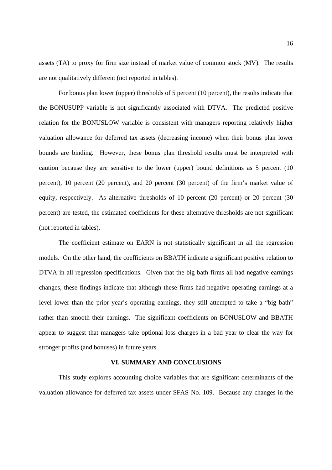assets (TA) to proxy for firm size instead of market value of common stock (MV). The results are not qualitatively different (not reported in tables).

For bonus plan lower (upper) thresholds of 5 percent (10 percent), the results indicate that the BONUSUPP variable is not significantly associated with DTVA. The predicted positive relation for the BONUSLOW variable is consistent with managers reporting relatively higher valuation allowance for deferred tax assets (decreasing income) when their bonus plan lower bounds are binding. However, these bonus plan threshold results must be interpreted with caution because they are sensitive to the lower (upper) bound definitions as 5 percent (10 percent), 10 percent (20 percent), and 20 percent (30 percent) of the firm's market value of equity, respectively. As alternative thresholds of 10 percent (20 percent) or 20 percent (30 percent) are tested, the estimated coefficients for these alternative thresholds are not significant (not reported in tables).

The coefficient estimate on EARN is not statistically significant in all the regression models. On the other hand, the coefficients on BBATH indicate a significant positive relation to DTVA in all regression specifications. Given that the big bath firms all had negative earnings changes, these findings indicate that although these firms had negative operating earnings at a level lower than the prior year's operating earnings, they still attempted to take a "big bath" rather than smooth their earnings. The significant coefficients on BONUSLOW and BBATH appear to suggest that managers take optional loss charges in a bad year to clear the way for stronger profits (and bonuses) in future years.

#### **VI. SUMMARY AND CONCLUSIONS**

This study explores accounting choice variables that are significant determinants of the valuation allowance for deferred tax assets under SFAS No. 109. Because any changes in the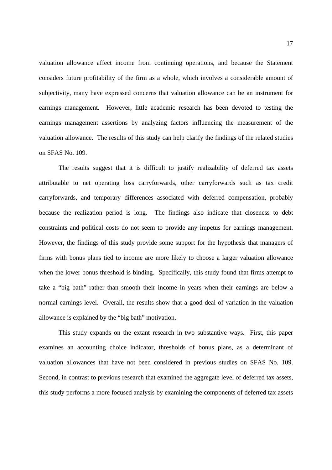valuation allowance affect income from continuing operations, and because the Statement considers future profitability of the firm as a whole, which involves a considerable amount of subjectivity, many have expressed concerns that valuation allowance can be an instrument for earnings management. However, little academic research has been devoted to testing the earnings management assertions by analyzing factors influencing the measurement of the valuation allowance. The results of this study can help clarify the findings of the related studies on SFAS No. 109.

The results suggest that it is difficult to justify realizability of deferred tax assets attributable to net operating loss carryforwards, other carryforwards such as tax credit carryforwards, and temporary differences associated with deferred compensation, probably because the realization period is long. The findings also indicate that closeness to debt constraints and political costs do not seem to provide any impetus for earnings management. However, the findings of this study provide some support for the hypothesis that managers of firms with bonus plans tied to income are more likely to choose a larger valuation allowance when the lower bonus threshold is binding. Specifically, this study found that firms attempt to take a "big bath" rather than smooth their income in years when their earnings are below a normal earnings level. Overall, the results show that a good deal of variation in the valuation allowance is explained by the "big bath" motivation.

This study expands on the extant research in two substantive ways. First, this paper examines an accounting choice indicator, thresholds of bonus plans, as a determinant of valuation allowances that have not been considered in previous studies on SFAS No. 109. Second, in contrast to previous research that examined the aggregate level of deferred tax assets, this study performs a more focused analysis by examining the components of deferred tax assets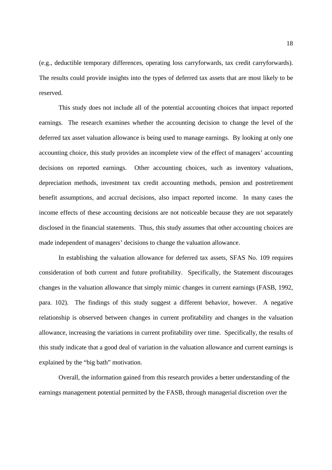(e.g., deductible temporary differences, operating loss carryforwards, tax credit carryforwards). The results could provide insights into the types of deferred tax assets that are most likely to be reserved.

 This study does not include all of the potential accounting choices that impact reported earnings. The research examines whether the accounting decision to change the level of the deferred tax asset valuation allowance is being used to manage earnings. By looking at only one accounting choice, this study provides an incomplete view of the effect of managers' accounting decisions on reported earnings. Other accounting choices, such as inventory valuations, depreciation methods, investment tax credit accounting methods, pension and postretirement benefit assumptions, and accrual decisions, also impact reported income. In many cases the income effects of these accounting decisions are not noticeable because they are not separately disclosed in the financial statements. Thus, this study assumes that other accounting choices are made independent of managers' decisions to change the valuation allowance.

 In establishing the valuation allowance for deferred tax assets, SFAS No. 109 requires consideration of both current and future profitability. Specifically, the Statement discourages changes in the valuation allowance that simply mimic changes in current earnings (FASB, 1992, para. 102). The findings of this study suggest a different behavior, however. A negative relationship is observed between changes in current profitability and changes in the valuation allowance, increasing the variations in current profitability over time. Specifically, the results of this study indicate that a good deal of variation in the valuation allowance and current earnings is explained by the "big bath" motivation.

Overall, the information gained from this research provides a better understanding of the earnings management potential permitted by the FASB, through managerial discretion over the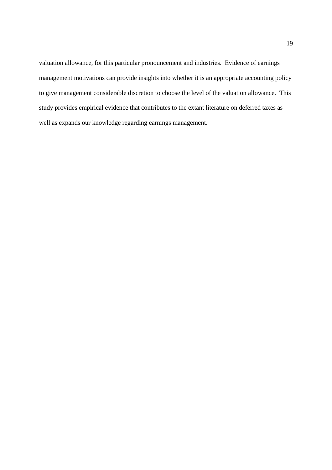valuation allowance, for this particular pronouncement and industries. Evidence of earnings management motivations can provide insights into whether it is an appropriate accounting policy to give management considerable discretion to choose the level of the valuation allowance. This study provides empirical evidence that contributes to the extant literature on deferred taxes as well as expands our knowledge regarding earnings management.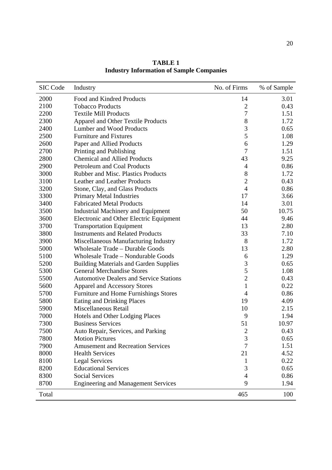| <b>SIC Code</b> | Industry                                       | No. of Firms                | % of Sample |
|-----------------|------------------------------------------------|-----------------------------|-------------|
| 2000            | Food and Kindred Products                      | 14                          | 3.01        |
| 2100            | <b>Tobacco Products</b>                        | $\overline{2}$              | 0.43        |
| 2200            | <b>Textile Mill Products</b>                   | 7                           | 1.51        |
| 2300            | <b>Apparel and Other Textile Products</b>      | 8                           | 1.72        |
| 2400            | Lumber and Wood Products                       | 3                           | 0.65        |
| 2500            | <b>Furniture and Fixtures</b>                  | 5                           | 1.08        |
| 2600            | Paper and Allied Products                      | 6                           | 1.29        |
| 2700            | Printing and Publishing                        | $\overline{7}$              | 1.51        |
| 2800            | <b>Chemical and Allied Products</b>            | 43                          | 9.25        |
| 2900            | Petroleum and Coal Products                    | 4                           | 0.86        |
| 3000            | <b>Rubber and Misc. Plastics Products</b>      | 8                           | 1.72        |
| 3100            | Leather and Leather Products                   | $\overline{2}$              | 0.43        |
| 3200            | Stone, Clay, and Glass Products                | $\overline{4}$              | 0.86        |
| 3300            | <b>Primary Metal Industries</b>                | 17                          | 3.66        |
| 3400            | <b>Fabricated Metal Products</b>               | 14                          | 3.01        |
| 3500            | <b>Industrial Machinery and Equipment</b>      | 50                          | 10.75       |
| 3600            | Electronic and Other Electric Equipment        | 44                          | 9.46        |
| 3700            | <b>Transportation Equipment</b>                | 13                          | 2.80        |
| 3800            | <b>Instruments and Related Products</b>        | 33                          | 7.10        |
| 3900            | Miscellaneous Manufacturing Industry           | 8                           | 1.72        |
| 5000            | <b>Wholesale Trade - Durable Goods</b>         | 13                          | 2.80        |
| 5100            | Wholesale Trade - Nondurable Goods             | 6                           | 1.29        |
| 5200            | <b>Building Materials and Garden Supplies</b>  | 3                           | 0.65        |
| 5300            | <b>General Merchandise Stores</b>              | 5                           | 1.08        |
| 5500            | <b>Automotive Dealers and Service Stations</b> | $\overline{2}$              | 0.43        |
| 5600            | Apparel and Accessory Stores                   | $\mathbf{1}$                | 0.22        |
| 5700            | Furniture and Home Furnishings Stores          | $\overline{4}$              | 0.86        |
| 5800            | Eating and Drinking Places                     | 19                          | 4.09        |
| 5900            | Miscellaneous Retail                           | 10                          | 2.15        |
| 7000            | Hotels and Other Lodging Places                | 9                           | 1.94        |
| 7300            | <b>Business Services</b>                       | 51                          | 10.97       |
| 7500            | Auto Repair, Services, and Parking             | $\mathcal{D}_{\mathcal{A}}$ | 0.43        |
| 7800            | <b>Motion Pictures</b>                         | 3                           | 0.65        |
| 7900            | <b>Amusement and Recreation Services</b>       | 7                           | 1.51        |
| 8000            | <b>Health Services</b>                         | 21                          | 4.52        |
| 8100            | <b>Legal Services</b>                          | 1                           | 0.22        |
| 8200            | <b>Educational Services</b>                    | 3                           | 0.65        |
| 8300            | <b>Social Services</b>                         | 4                           | 0.86        |
| 8700            | <b>Engineering and Management Services</b>     | 9                           | 1.94        |
| Total           |                                                | 465                         | 100         |

**TABLE 1 Industry Information of Sample Companies**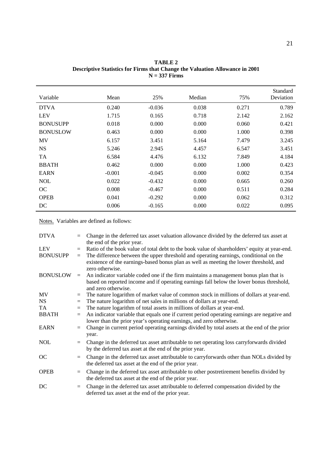| Variable        | Mean     | 25%      | Median | 75%   | Standard<br>Deviation |
|-----------------|----------|----------|--------|-------|-----------------------|
| <b>DTVA</b>     | 0.240    | $-0.036$ | 0.038  | 0.271 | 0.789                 |
| <b>LEV</b>      | 1.715    | 0.165    | 0.718  | 2.142 | 2.162                 |
| <b>BONUSUPP</b> | 0.018    | 0.000    | 0.000  | 0.060 | 0.421                 |
| <b>BONUSLOW</b> | 0.463    | 0.000    | 0.000  | 1.000 | 0.398                 |
| MV              | 6.157    | 3.451    | 5.164  | 7.479 | 3.245                 |
| <b>NS</b>       | 5.246    | 2.945    | 4.457  | 6.547 | 3.451                 |
| TA              | 6.584    | 4.476    | 6.132  | 7.849 | 4.184                 |
| <b>BBATH</b>    | 0.462    | 0.000    | 0.000  | 1.000 | 0.423                 |
| <b>EARN</b>     | $-0.001$ | $-0.045$ | 0.000  | 0.002 | 0.354                 |
| <b>NOL</b>      | 0.022    | $-0.432$ | 0.000  | 0.665 | 0.260                 |
| OC              | 0.008    | $-0.467$ | 0.000  | 0.511 | 0.284                 |
| <b>OPEB</b>     | 0.041    | $-0.292$ | 0.000  | 0.062 | 0.312                 |
| DC              | 0.006    | $-0.165$ | 0.000  | 0.022 | 0.095                 |

**TABLE 2 Descriptive Statistics for Firms that Change the Valuation Allowance in 2001 N = 337 Firms** 

| <b>DTVA</b>     | $=$ | Change in the deferred tax asset valuation allowance divided by the deferred tax asset at<br>the end of the prior year.                                                                            |
|-----------------|-----|----------------------------------------------------------------------------------------------------------------------------------------------------------------------------------------------------|
| LEV             | $=$ | Ratio of the book value of total debt to the book value of shareholders' equity at year-end.                                                                                                       |
| <b>BONUSUPP</b> | $=$ | The difference between the upper threshold and operating earnings, conditional on the<br>existence of the earnings-based bonus plan as well as meeting the lower threshold, and<br>zero otherwise. |
| <b>BONUSLOW</b> | $=$ | An indicator variable coded one if the firm maintains a management bonus plan that is<br>based on reported income and if operating earnings fall below the lower bonus threshold,                  |
|                 |     | and zero otherwise.                                                                                                                                                                                |
| MV              | $=$ | The nature logarithm of market value of common stock in millions of dollars at year-end.                                                                                                           |
| <b>NS</b>       | $=$ | The nature logarithm of net sales in millions of dollars at year-end.                                                                                                                              |
| TA              | $=$ | The nature logarithm of total assets in millions of dollars at year-end.                                                                                                                           |
| <b>BBATH</b>    | $=$ | An indicator variable that equals one if current period operating earnings are negative and<br>lower than the prior year's operating earnings, and zero otherwise.                                 |
| <b>EARN</b>     | $=$ | Change in current period operating earnings divided by total assets at the end of the prior<br>year.                                                                                               |
| <b>NOL</b>      | $=$ | Change in the deferred tax asset attributable to net operating loss carryforwards divided<br>by the deferred tax asset at the end of the prior year.                                               |
| OC              | $=$ | Change in the deferred tax asset attributable to carryforwards other than NOLs divided by<br>the deferred tax asset at the end of the prior year.                                                  |
| <b>OPEB</b>     | $=$ | Change in the deferred tax asset attributable to other postretirement benefits divided by<br>the deferred tax asset at the end of the prior year.                                                  |
| DC              | $=$ | Change in the deferred tax asset attributable to deferred compensation divided by the<br>deferred tax asset at the end of the prior year.                                                          |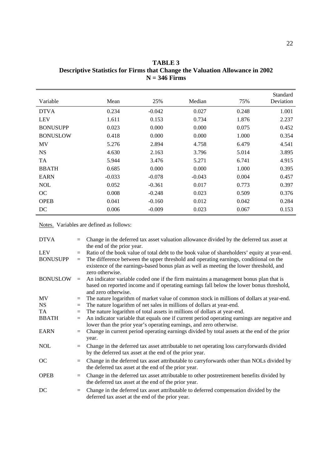| Variable        | Mean     | 25%      | Median   | 75%   | Standard<br>Deviation |
|-----------------|----------|----------|----------|-------|-----------------------|
| <b>DTVA</b>     | 0.234    | $-0.042$ | 0.027    | 0.248 | 1.001                 |
| <b>LEV</b>      | 1.611    | 0.153    | 0.734    | 1.876 | 2.237                 |
| <b>BONUSUPP</b> | 0.023    | 0.000    | 0.000    | 0.075 | 0.452                 |
| <b>BONUSLOW</b> | 0.418    | 0.000    | 0.000    | 1.000 | 0.354                 |
| MV              | 5.276    | 2.894    | 4.758    | 6.479 | 4.541                 |
| <b>NS</b>       | 4.630    | 2.163    | 3.796    | 5.014 | 3.895                 |
| <b>TA</b>       | 5.944    | 3.476    | 5.271    | 6.741 | 4.915                 |
| <b>BBATH</b>    | 0.685    | 0.000    | 0.000    | 1.000 | 0.395                 |
| <b>EARN</b>     | $-0.033$ | $-0.078$ | $-0.043$ | 0.004 | 0.457                 |
| <b>NOL</b>      | 0.052    | $-0.361$ | 0.017    | 0.773 | 0.397                 |
| OC              | 0.008    | $-0.248$ | 0.023    | 0.509 | 0.376                 |
| <b>OPEB</b>     | 0.041    | $-0.160$ | 0.012    | 0.042 | 0.284                 |

-0.009

0.023

0.067

**TABLE 3 Descriptive Statistics for Firms that Change the Valuation Allowance in 2002 N = 346 Firms** 

Notes. Variables are defined as follows:

0.006

DC

| <b>DTVA</b>                   | $=$        | Change in the deferred tax asset valuation allowance divided by the deferred tax asset at<br>the end of the prior year.                                                                                                                                                                            |
|-------------------------------|------------|----------------------------------------------------------------------------------------------------------------------------------------------------------------------------------------------------------------------------------------------------------------------------------------------------|
| <b>LEV</b><br><b>BONUSUPP</b> | $=$<br>$=$ | Ratio of the book value of total debt to the book value of shareholders' equity at year-end.<br>The difference between the upper threshold and operating earnings, conditional on the<br>existence of the earnings-based bonus plan as well as meeting the lower threshold, and<br>zero otherwise. |
| <b>BONUSLOW</b>               | $=$        | An indicator variable coded one if the firm maintains a management bonus plan that is<br>based on reported income and if operating earnings fall below the lower bonus threshold,<br>and zero otherwise.                                                                                           |
| MV                            | $=$        | The nature logarithm of market value of common stock in millions of dollars at year-end.                                                                                                                                                                                                           |
| <b>NS</b>                     | $=$        | The nature logarithm of net sales in millions of dollars at year-end.                                                                                                                                                                                                                              |
| TA                            | $=$        | The nature logarithm of total assets in millions of dollars at year-end.                                                                                                                                                                                                                           |
| <b>BBATH</b>                  | $\equiv$   | An indicator variable that equals one if current period operating earnings are negative and<br>lower than the prior year's operating earnings, and zero otherwise.                                                                                                                                 |
| <b>EARN</b>                   | $=$        | Change in current period operating earnings divided by total assets at the end of the prior<br>year.                                                                                                                                                                                               |
| <b>NOL</b>                    | $=$        | Change in the deferred tax asset attributable to net operating loss carry forwards divided<br>by the deferred tax asset at the end of the prior year.                                                                                                                                              |
| <b>OC</b>                     | $=$        | Change in the deferred tax asset attributable to carryforwards other than NOLs divided by<br>the deferred tax asset at the end of the prior year.                                                                                                                                                  |
| <b>OPEB</b>                   | $=$        | Change in the deferred tax asset attributable to other postretirement benefits divided by<br>the deferred tax asset at the end of the prior year.                                                                                                                                                  |
| DC                            | $=$        | Change in the deferred tax asset attributable to deferred compensation divided by the<br>deferred tax asset at the end of the prior year.                                                                                                                                                          |

0.153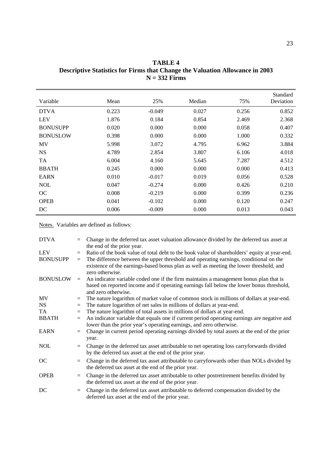| TABLE 4                                                                             |
|-------------------------------------------------------------------------------------|
| <b>Descriptive Statistics for Firms that Change the Valuation Allowance in 2003</b> |
| $N = 332$ Firms                                                                     |
|                                                                                     |

| Variable        | Mean  | 25%      | Median | 75%   | Standard<br>Deviation |
|-----------------|-------|----------|--------|-------|-----------------------|
| <b>DTVA</b>     | 0.223 | $-0.049$ | 0.027  | 0.256 | 0.852                 |
| <b>LEV</b>      | 1.876 | 0.184    | 0.854  | 2.469 | 2.368                 |
| <b>BONUSUPP</b> | 0.020 | 0.000    | 0.000  | 0.058 | 0.407                 |
| <b>BONUSLOW</b> | 0.398 | 0.000    | 0.000  | 1.000 | 0.332                 |
| MV              | 5.998 | 3.072    | 4.795  | 6.962 | 3.884                 |
| <b>NS</b>       | 4.789 | 2.854    | 3.807  | 6.106 | 4.018                 |
| TA              | 6.004 | 4.160    | 5.645  | 7.287 | 4.512                 |
| <b>BBATH</b>    | 0.245 | 0.000    | 0.000  | 0.000 | 0.413                 |
| <b>EARN</b>     | 0.010 | $-0.017$ | 0.019  | 0.056 | 0.528                 |
| <b>NOL</b>      | 0.047 | $-0.274$ | 0.000  | 0.426 | 0.210                 |
| OC              | 0.008 | $-0.219$ | 0.000  | 0.399 | 0.236                 |
| <b>OPEB</b>     | 0.041 | $-0.102$ | 0.000  | 0.120 | 0.247                 |
| DC              | 0.006 | $-0.009$ | 0.000  | 0.013 | 0.043                 |

| <b>DTVA</b>                   | $=$        | Change in the deferred tax asset valuation allowance divided by the deferred tax asset at<br>the end of the prior year.                                                                                                                                                                            |
|-------------------------------|------------|----------------------------------------------------------------------------------------------------------------------------------------------------------------------------------------------------------------------------------------------------------------------------------------------------|
| <b>LEV</b><br><b>BONUSUPP</b> | $=$<br>$=$ | Ratio of the book value of total debt to the book value of shareholders' equity at year-end.<br>The difference between the upper threshold and operating earnings, conditional on the<br>existence of the earnings-based bonus plan as well as meeting the lower threshold, and<br>zero otherwise. |
| <b>BONUSLOW</b>               | $=$        | An indicator variable coded one if the firm maintains a management bonus plan that is<br>based on reported income and if operating earnings fall below the lower bonus threshold,<br>and zero otherwise.                                                                                           |
| MV                            | $=$        | The nature logarithm of market value of common stock in millions of dollars at year-end.                                                                                                                                                                                                           |
| <b>NS</b>                     | $=$        | The nature logarithm of net sales in millions of dollars at year-end.                                                                                                                                                                                                                              |
| TA                            | $=$        | The nature logarithm of total assets in millions of dollars at year-end.                                                                                                                                                                                                                           |
| <b>BBATH</b>                  | $=$        | An indicator variable that equals one if current period operating earnings are negative and<br>lower than the prior year's operating earnings, and zero otherwise.                                                                                                                                 |
| <b>EARN</b>                   | $=$        | Change in current period operating earnings divided by total assets at the end of the prior<br>year.                                                                                                                                                                                               |
| <b>NOL</b>                    | $=$        | Change in the deferred tax asset attributable to net operating loss carryforwards divided<br>by the deferred tax asset at the end of the prior year.                                                                                                                                               |
| OC                            | $=$        | Change in the deferred tax asset attributable to carryforwards other than NOLs divided by<br>the deferred tax asset at the end of the prior year.                                                                                                                                                  |
| <b>OPEB</b>                   | $=$        | Change in the deferred tax asset attributable to other postretirement benefits divided by<br>the deferred tax asset at the end of the prior year.                                                                                                                                                  |
| DC                            | $=$        | Change in the deferred tax asset attributable to deferred compensation divided by the<br>deferred tax asset at the end of the prior year.                                                                                                                                                          |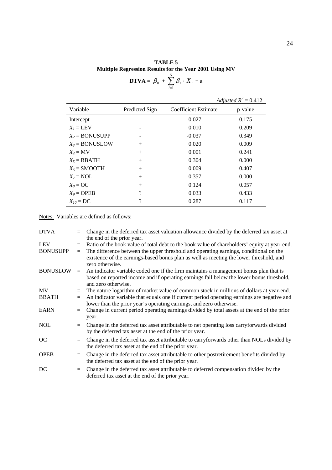**TABLE 5 Multiple Regression Results for the Year 2001 Using MV** 

$$
\mathbf{D} \mathbf{T} \mathbf{V} \mathbf{A} = \beta_0 + \sum_{i=1}^{5} \beta_i \cdot X_i + \varepsilon
$$

*Adjusted*  $R^2 = 0.412$ 

| Variable             | Predicted Sign | Coefficient Estimate | p-value |
|----------------------|----------------|----------------------|---------|
| Intercept            |                | 0.027                | 0.175   |
| $X_i = \text{LEV}$   |                | 0.010                | 0.209   |
| $X_2 = BONUSUPP$     |                | $-0.037$             | 0.349   |
| $X_3 = BONUSLOW$     | $^{+}$         | 0.020                | 0.009   |
| $X_4 = MV$           | $^{+}$         | 0.001                | 0.241   |
| $X_5 = \text{BBATH}$ | $^{+}$         | 0.304                | 0.000   |
| $X_6$ = SMOOTH       | $^{+}$         | 0.009                | 0.407   |
| $X_7 = \text{NOL}$   | $^{+}$         | 0.357                | 0.000   |
| $X_8 = \text{OC}$    | $^{+}$         | 0.124                | 0.057   |
| $X_9 = \text{OPEB}$  | ?              | 0.033                | 0.433   |
| $X_{10} = DC$        | ?              | 0.287                | 0.117   |

| <b>DTVA</b>            |            | Change in the deferred tax asset valuation allowance divided by the deferred tax asset at<br>the end of the prior year.                                                                                                                                                                            |
|------------------------|------------|----------------------------------------------------------------------------------------------------------------------------------------------------------------------------------------------------------------------------------------------------------------------------------------------------|
| LEV<br><b>BONUSUPP</b> | $=$<br>$=$ | Ratio of the book value of total debt to the book value of shareholders' equity at year-end.<br>The difference between the upper threshold and operating earnings, conditional on the<br>existence of the earnings-based bonus plan as well as meeting the lower threshold, and<br>zero otherwise. |
| <b>BONUSLOW</b>        | $=$        | An indicator variable coded one if the firm maintains a management bonus plan that is<br>based on reported income and if operating earnings fall below the lower bonus threshold,<br>and zero otherwise.                                                                                           |
| MV                     | $=$        | The nature logarithm of market value of common stock in millions of dollars at year-end.                                                                                                                                                                                                           |
| BBATH                  | $=$        | An indicator variable that equals one if current period operating earnings are negative and<br>lower than the prior year's operating earnings, and zero otherwise.                                                                                                                                 |
| EARN                   | $=$        | Change in current period operating earnings divided by total assets at the end of the prior<br>year.                                                                                                                                                                                               |
| NOL                    | $=$        | Change in the deferred tax asset attributable to net operating loss carryforwards divided<br>by the deferred tax asset at the end of the prior year.                                                                                                                                               |
| <b>OC</b>              | $=$        | Change in the deferred tax asset attributable to carryforwards other than NOLs divided by<br>the deferred tax asset at the end of the prior year.                                                                                                                                                  |
| OPEB                   | $=$        | Change in the deferred tax asset attributable to other postretirement benefits divided by<br>the deferred tax asset at the end of the prior year.                                                                                                                                                  |
| DC                     | $=$        | Change in the deferred tax asset attributable to deferred compensation divided by the<br>deferred tax asset at the end of the prior year.                                                                                                                                                          |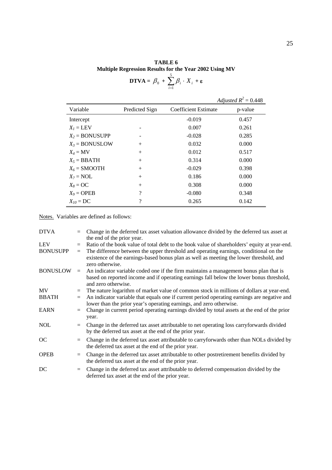**TABLE 6 Multiple Regression Results for the Year 2002 Using MV**  5

$$
\mathbf{DTVA} = \beta_0 + \sum_{i=1}^{5} \beta_i \cdot X_i + \varepsilon
$$

*Adjusted*  $R^2 = 0.448$ 

| Variable             | Predicted Sign | Coefficient Estimate | p-value |
|----------------------|----------------|----------------------|---------|
| Intercept            |                | $-0.019$             | 0.457   |
| $X_i = \text{LEV}$   |                | 0.007                | 0.261   |
| $X_2 = BONUSUPP$     |                | $-0.028$             | 0.285   |
| $X_3 = BONUSLOW$     | $^{+}$         | 0.032                | 0.000   |
| $X_4 = MV$           | $^{+}$         | 0.012                | 0.517   |
| $X_5 = \text{BBATH}$ | $^{+}$         | 0.314                | 0.000   |
| $X_6$ = SMOOTH       | $^{+}$         | $-0.029$             | 0.398   |
| $X_7 = \text{NOL}$   | $^{+}$         | 0.186                | 0.000   |
| $X_8 = \text{OC}$    | $^{+}$         | 0.308                | 0.000   |
| $X_9 = \text{OPEB}$  | ?              | $-0.080$             | 0.348   |
| $X_{10}$ = DC        | ?              | 0.265                | 0.142   |

| DTVA                   |            | Change in the deferred tax asset valuation allowance divided by the deferred tax asset at<br>the end of the prior year.                                                                                                                                                                            |
|------------------------|------------|----------------------------------------------------------------------------------------------------------------------------------------------------------------------------------------------------------------------------------------------------------------------------------------------------|
| LEV<br><b>BONUSUPP</b> | $=$<br>$=$ | Ratio of the book value of total debt to the book value of shareholders' equity at year-end.<br>The difference between the upper threshold and operating earnings, conditional on the<br>existence of the earnings-based bonus plan as well as meeting the lower threshold, and<br>zero otherwise. |
| <b>BONUSLOW</b>        | $=$        | An indicator variable coded one if the firm maintains a management bonus plan that is<br>based on reported income and if operating earnings fall below the lower bonus threshold,<br>and zero otherwise.                                                                                           |
| MV.                    | $=$        | The nature logarithm of market value of common stock in millions of dollars at year-end.                                                                                                                                                                                                           |
| BBATH                  | $=$        | An indicator variable that equals one if current period operating earnings are negative and<br>lower than the prior year's operating earnings, and zero otherwise.                                                                                                                                 |
| EARN                   | $=$        | Change in current period operating earnings divided by total assets at the end of the prior<br>year.                                                                                                                                                                                               |
| NOL                    | $=$        | Change in the deferred tax asset attributable to net operating loss carry forwards divided<br>by the deferred tax asset at the end of the prior year.                                                                                                                                              |
| <b>OC</b>              | $=$        | Change in the deferred tax asset attributable to carryforwards other than NOLs divided by<br>the deferred tax asset at the end of the prior year.                                                                                                                                                  |
| OPEB                   | $=$        | Change in the deferred tax asset attributable to other postretirement benefits divided by<br>the deferred tax asset at the end of the prior year.                                                                                                                                                  |
| DC                     | $=$        | Change in the deferred tax asset attributable to deferred compensation divided by the<br>deferred tax asset at the end of the prior year.                                                                                                                                                          |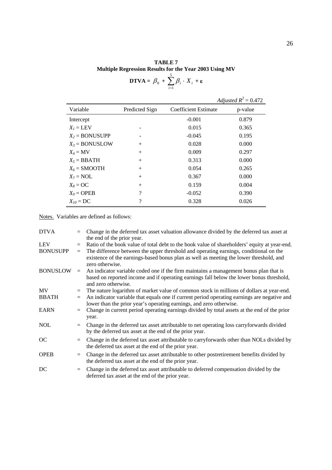**TABLE 7 Multiple Regression Results for the Year 2003 Using MV** 

$$
\mathbf{D} \mathbf{T} \mathbf{V} \mathbf{A} = \beta_0 + \sum_{i=1}^{5} \beta_i \cdot X_i + \varepsilon
$$

*Adjusted*  $R^2 = 0.472$ 

| Variable             | Predicted Sign     | Coefficient Estimate | p-value |
|----------------------|--------------------|----------------------|---------|
| Intercept            |                    | $-0.001$             | 0.879   |
| $X_i = \text{LEV}$   |                    | 0.015                | 0.365   |
| $X_2 = BONUSUPP$     |                    | $-0.045$             | 0.195   |
| $X_3 = BONUSLOW$     | $^{+}$             | 0.028                | 0.000   |
| $X_4 = MV$           | $^{+}$             | 0.009                | 0.297   |
| $X_5 = \text{BBATH}$ | $^{+}$             | 0.313                | 0.000   |
| $X_6$ = SMOOTH       | $^{+}$             | 0.054                | 0.265   |
| $X_7 = \text{NOL}$   | $^{+}$             | 0.367                | 0.000   |
| $X_8 = \text{OC}$    | $^{+}$             | 0.159                | 0.004   |
| $X_9 = \text{OPEB}$  | $\overline{\cdot}$ | $-0.052$             | 0.390   |
| $X_{10} = DC$        | $\gamma$           | 0.328                | 0.026   |

| <b>DTVA</b>            |            | Change in the deferred tax asset valuation allowance divided by the deferred tax asset at<br>the end of the prior year.                                                                                                                                                                            |
|------------------------|------------|----------------------------------------------------------------------------------------------------------------------------------------------------------------------------------------------------------------------------------------------------------------------------------------------------|
| LEV<br><b>BONUSUPP</b> | $=$<br>$=$ | Ratio of the book value of total debt to the book value of shareholders' equity at year-end.<br>The difference between the upper threshold and operating earnings, conditional on the<br>existence of the earnings-based bonus plan as well as meeting the lower threshold, and<br>zero otherwise. |
| <b>BONUSLOW</b>        | $=$        | An indicator variable coded one if the firm maintains a management bonus plan that is<br>based on reported income and if operating earnings fall below the lower bonus threshold,<br>and zero otherwise.                                                                                           |
| MV                     | $=$        | The nature logarithm of market value of common stock in millions of dollars at year-end.                                                                                                                                                                                                           |
| BBATH                  | $=$        | An indicator variable that equals one if current period operating earnings are negative and<br>lower than the prior year's operating earnings, and zero otherwise.                                                                                                                                 |
| EARN                   | $=$        | Change in current period operating earnings divided by total assets at the end of the prior<br>year.                                                                                                                                                                                               |
| NOL                    | $=$        | Change in the deferred tax asset attributable to net operating loss carry forwards divided<br>by the deferred tax asset at the end of the prior year.                                                                                                                                              |
| <b>OC</b>              | $=$        | Change in the deferred tax asset attributable to carryforwards other than NOLs divided by<br>the deferred tax asset at the end of the prior year.                                                                                                                                                  |
| OPEB                   | $=$        | Change in the deferred tax asset attributable to other postretirement benefits divided by<br>the deferred tax asset at the end of the prior year.                                                                                                                                                  |
| DC                     | $=$        | Change in the deferred tax asset attributable to deferred compensation divided by the<br>deferred tax asset at the end of the prior year.                                                                                                                                                          |